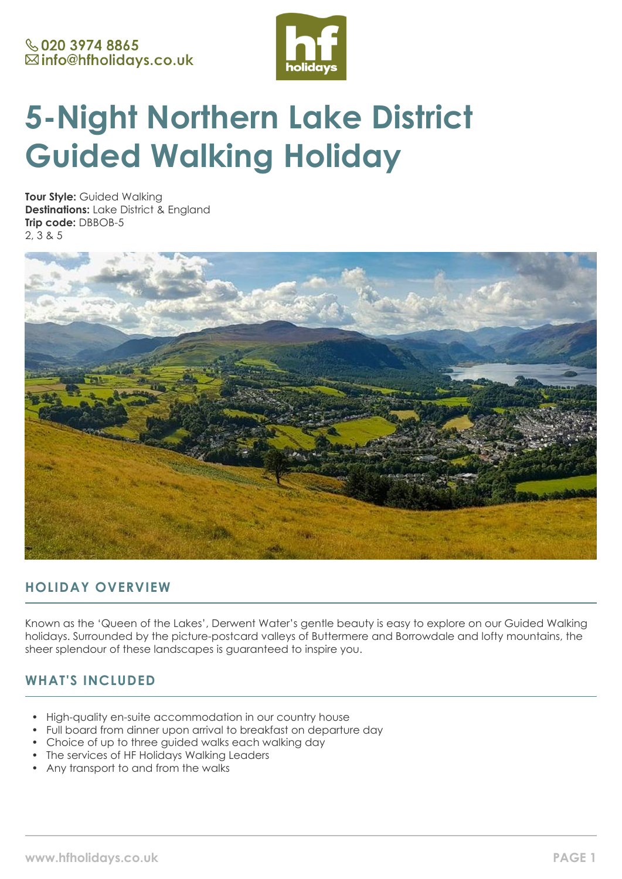

# **5-Night Northern Lake District Guided Walking Holiday**

**Tour Style:** Guided Walking **Destinations:** Lake District & England **Trip code:** DBBOB-5 2, 3 & 5



# **HOLIDAY OVERVIEW**

Known as the 'Queen of the Lakes', Derwent Water's gentle beauty is easy to explore on our Guided Walking holidays. Surrounded by the picture-postcard valleys of Buttermere and Borrowdale and lofty mountains, the sheer splendour of these landscapes is guaranteed to inspire you.

# **WHAT'S INCLUDED**

- High-quality en-suite accommodation in our country house
- Full board from dinner upon arrival to breakfast on departure day
- Choice of up to three guided walks each walking day
- The services of HF Holidays Walking Leaders
- Any transport to and from the walks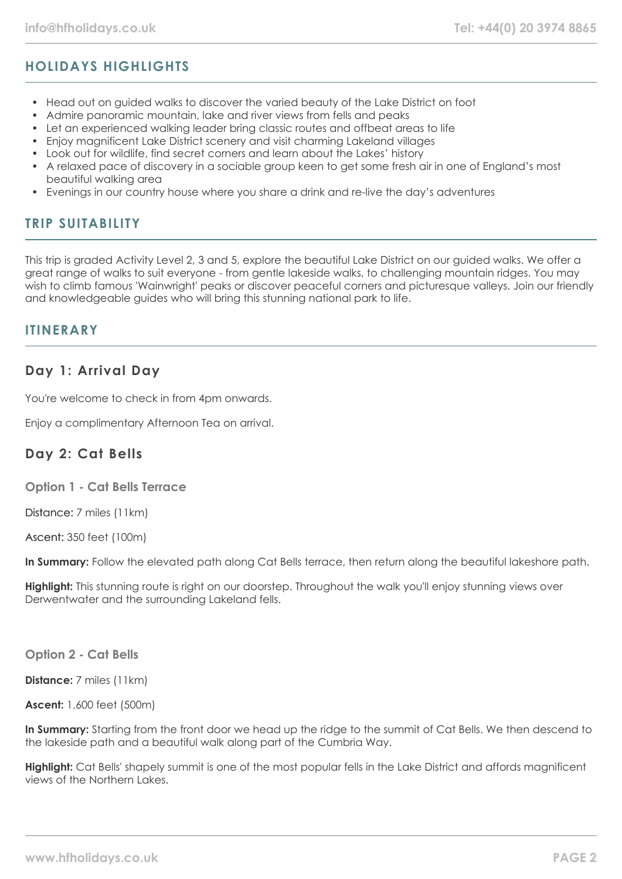# **HOLIDAYS HIGHLIGHTS**

- Head out on guided walks to discover the varied beauty of the Lake District on foot
- Admire panoramic mountain, lake and river views from fells and peaks
- Let an experienced walking leader bring classic routes and offbeat areas to life
- Enjoy magnificent Lake District scenery and visit charming Lakeland villages
- Look out for wildlife, find secret corners and learn about the Lakes' history
- A relaxed pace of discovery in a sociable group keen to get some fresh air in one of England's most beautiful walking area
- Evenings in our country house where you share a drink and re-live the day's adventures

# **TRIP SUITABILITY**

This trip is graded Activity Level 2, 3 and 5, explore the beautiful Lake District on our guided walks. We offer a great range of walks to suit everyone - from gentle lakeside walks, to challenging mountain ridges. You may wish to climb famous 'Wainwright' peaks or discover peaceful corners and picturesque valleys. Join our friendly and knowledgeable guides who will bring this stunning national park to life.

## **ITINERARY**

# **Day 1: Arrival Day**

You're welcome to check in from 4pm onwards.

Enjoy a complimentary Afternoon Tea on arrival.

## **Day 2: Cat Bells**

**Option 1 - Cat Bells Terrace**

Distance: 7 miles (11km)

Ascent: 350 feet (100m)

**In Summary:** Follow the elevated path along Cat Bells terrace, then return along the beautiful lakeshore path.

**Highlight:** This stunning route is right on our doorstep. Throughout the walk you'll enjoy stunning views over Derwentwater and the surrounding Lakeland fells.

**Option 2 - Cat Bells**

**Distance:** 7 miles (11km)

**Ascent:** 1,600 feet (500m)

**In Summary:** Starting from the front door we head up the ridge to the summit of Cat Bells. We then descend to the lakeside path and a beautiful walk along part of the Cumbria Way.

**Highlight:** Cat Bells' shapely summit is one of the most popular fells in the Lake District and affords magnificent views of the Northern Lakes.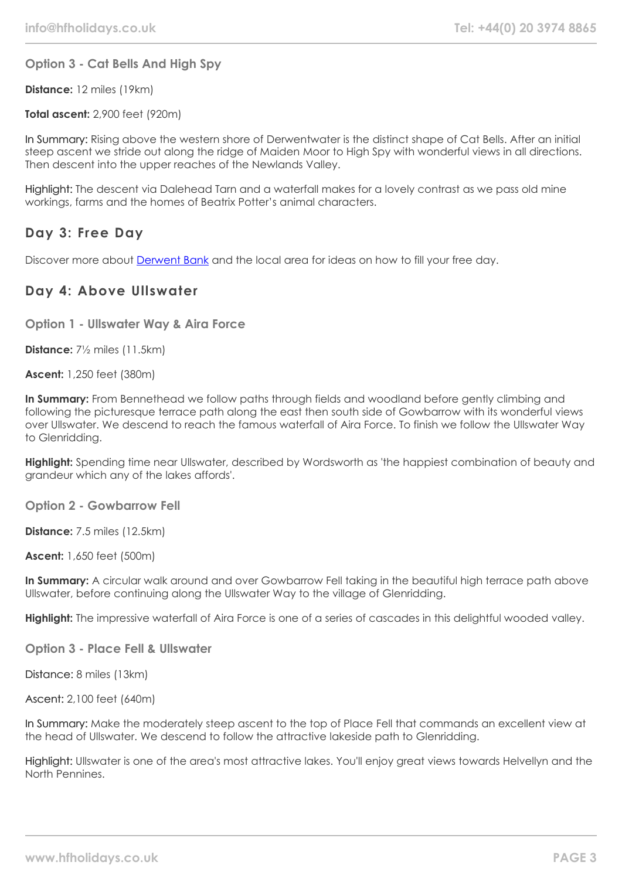**Option 3 - Cat Bells And High Spy**

**Distance:** 12 miles (19km)

**Total ascent:** 2,900 feet (920m)

In Summary: Rising above the western shore of Derwentwater is the distinct shape of Cat Bells. After an initial steep ascent we stride out along the ridge of Maiden Moor to High Spy with wonderful views in all directions. Then descent into the upper reaches of the Newlands Valley.

Highlight: The descent via Dalehead Tarn and a waterfall makes for a lovely contrast as we pass old mine workings, farms and the homes of Beatrix Potter's animal characters.

# **Day 3: Free Day**

Discover more about [Derwent Bank](https://www.hfholidays.co.uk/country-houses/locations/derwent-bank) and the local area for ideas on how to fill your free day.

# **Day 4: Above Ullswater**

**Option 1 - Ullswater Way & Aira Force**

**Distance:** 7½ miles (11.5km)

**Ascent:** 1,250 feet (380m)

**In Summary:** From Bennethead we follow paths through fields and woodland before gently climbing and following the picturesque terrace path along the east then south side of Gowbarrow with its wonderful views over Ullswater. We descend to reach the famous waterfall of Aira Force. To finish we follow the Ullswater Way to Glenridding.

**Highlight:** Spending time near Ullswater, described by Wordsworth as 'the happiest combination of beauty and grandeur which any of the lakes affords'.

**Option 2 - Gowbarrow Fell**

**Distance:** 7.5 miles (12.5km)

**Ascent:** 1,650 feet (500m)

**In Summary:** A circular walk around and over Gowbarrow Fell taking in the beautiful high terrace path above Ullswater, before continuing along the Ullswater Way to the village of Glenridding.

**Highlight:** The impressive waterfall of Aira Force is one of a series of cascades in this delightful wooded valley.

**Option 3 - Place Fell & Ullswater**

Distance: 8 miles (13km)

Ascent: 2,100 feet (640m)

In Summary: Make the moderately steep ascent to the top of Place Fell that commands an excellent view at the head of Ullswater. We descend to follow the attractive lakeside path to Glenridding.

Highlight: Ullswater is one of the area's most attractive lakes. You'll enjoy great views towards Helvellyn and the North Pennines.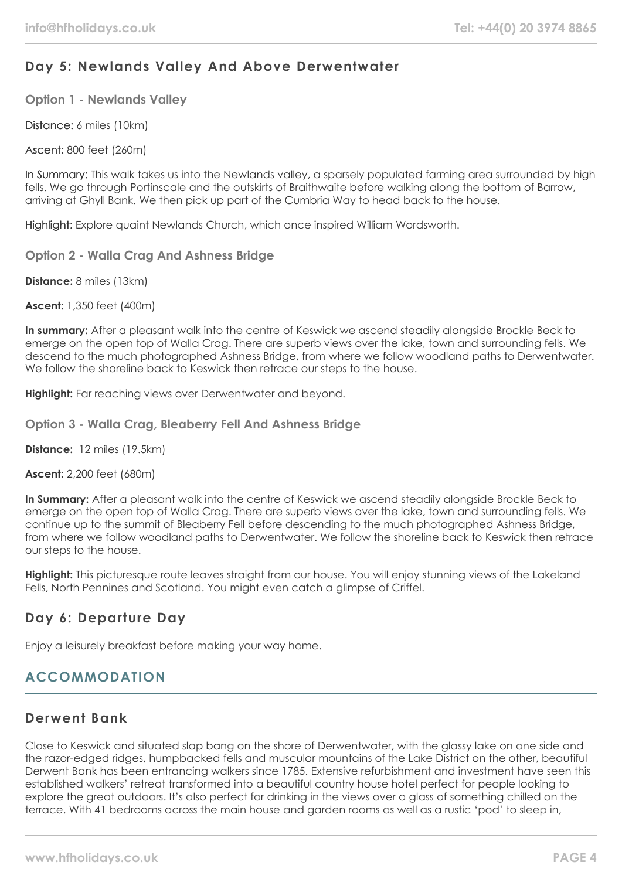# **Day 5: Newlands Valley And Above Derwentwater**

**Option 1 - Newlands Valley**

Distance: 6 miles (10km)

Ascent: 800 feet (260m)

In Summary: This walk takes us into the Newlands valley, a sparsely populated farming area surrounded by high fells. We go through Portinscale and the outskirts of Braithwaite before walking along the bottom of Barrow, arriving at Ghyll Bank. We then pick up part of the Cumbria Way to head back to the house.

Highlight: Explore quaint Newlands Church, which once inspired William Wordsworth.

**Option 2 - Walla Crag And Ashness Bridge**

**Distance:** 8 miles (13km)

**Ascent:** 1,350 feet (400m)

**In summary:** After a pleasant walk into the centre of Keswick we ascend steadily alongside Brockle Beck to emerge on the open top of Walla Crag. There are superb views over the lake, town and surrounding fells. We descend to the much photographed Ashness Bridge, from where we follow woodland paths to Derwentwater. We follow the shoreline back to Keswick then retrace our steps to the house.

**Highlight:** Far reaching views over Derwentwater and beyond.

**Option 3 - Walla Crag, Bleaberry Fell And Ashness Bridge**

**Distance:** 12 miles (19.5km)

**Ascent:** 2,200 feet (680m)

**In Summary:** After a pleasant walk into the centre of Keswick we ascend steadily alongside Brockle Beck to emerge on the open top of Walla Crag. There are superb views over the lake, town and surrounding fells. We continue up to the summit of Bleaberry Fell before descending to the much photographed Ashness Bridge, from where we follow woodland paths to Derwentwater. We follow the shoreline back to Keswick then retrace our steps to the house.

**Highlight:** This picturesque route leaves straight from our house. You will enjoy stunning views of the Lakeland Fells, North Pennines and Scotland. You might even catch a glimpse of Criffel.

# **Day 6: Departure Day**

Enjoy a leisurely breakfast before making your way home.

# **ACCOMMODATION**

## **Derwent Bank**

Close to Keswick and situated slap bang on the shore of Derwentwater, with the glassy lake on one side and the razor-edged ridges, humpbacked fells and muscular mountains of the Lake District on the other, beautiful Derwent Bank has been entrancing walkers since 1785. Extensive refurbishment and investment have seen this established walkers' retreat transformed into a beautiful country house hotel perfect for people looking to explore the great outdoors. It's also perfect for drinking in the views over a glass of something chilled on the terrace. With 41 bedrooms across the main house and garden rooms as well as a rustic 'pod' to sleep in,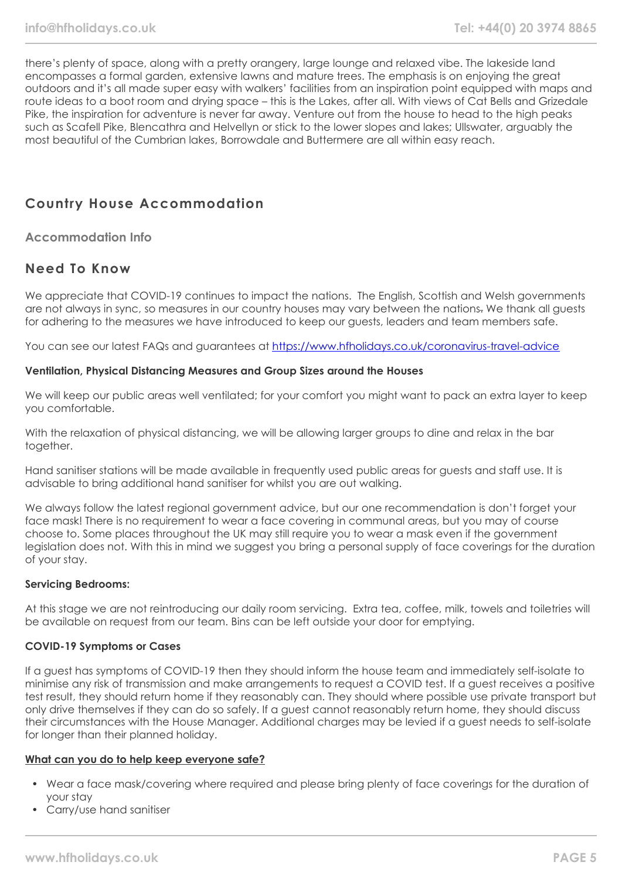there's plenty of space, along with a pretty orangery, large lounge and relaxed vibe. The lakeside land encompasses a formal garden, extensive lawns and mature trees. The emphasis is on enjoying the great outdoors and it's all made super easy with walkers' facilities from an inspiration point equipped with maps and route ideas to a boot room and drying space – this is the Lakes, after all. With views of Cat Bells and Grizedale Pike, the inspiration for adventure is never far away. Venture out from the house to head to the high peaks such as Scafell Pike, Blencathra and Helvellyn or stick to the lower slopes and lakes; Ullswater, arguably the most beautiful of the Cumbrian lakes, Borrowdale and Buttermere are all within easy reach.

# **Country House Accommodation**

**Accommodation Info**

# **Need To Know**

We appreciate that COVID-19 continues to impact the nations. The English, Scottish and Welsh governments are not always in sync, so measures in our country houses may vary between the nations. We thank all guests for adhering to the measures we have introduced to keep our guests, leaders and team members safe.

You can see our latest FAQs and guarantees at <https://www.hfholidays.co.uk/coronavirus-travel-advice>

#### **Ventilation, Physical Distancing Measures and Group Sizes around the Houses**

We will keep our public areas well ventilated; for your comfort you might want to pack an extra layer to keep you comfortable.

With the relaxation of physical distancing, we will be allowing larger groups to dine and relax in the bar together.

Hand sanitiser stations will be made available in frequently used public areas for guests and staff use. It is advisable to bring additional hand sanitiser for whilst you are out walking.

We always follow the latest regional government advice, but our one recommendation is don't forget your face mask! There is no requirement to wear a face covering in communal areas, but you may of course choose to. Some places throughout the UK may still require you to wear a mask even if the government legislation does not. With this in mind we suggest you bring a personal supply of face coverings for the duration of your stay.

#### **Servicing Bedrooms:**

At this stage we are not reintroducing our daily room servicing. Extra tea, coffee, milk, towels and toiletries will be available on request from our team. Bins can be left outside your door for emptying.

#### **COVID-19 Symptoms or Cases**

If a guest has symptoms of COVID-19 then they should inform the house team and immediately self-isolate to minimise any risk of transmission and make arrangements to request a COVID test. If a guest receives a positive test result, they should return home if they reasonably can. They should where possible use private transport but only drive themselves if they can do so safely. If a guest cannot reasonably return home, they should discuss their circumstances with the House Manager. Additional charges may be levied if a guest needs to self-isolate for longer than their planned holiday.

#### **What can you do to help keep everyone safe?**

- Wear a face mask/covering where required and please bring plenty of face coverings for the duration of your stay
- Carry/use hand sanitiser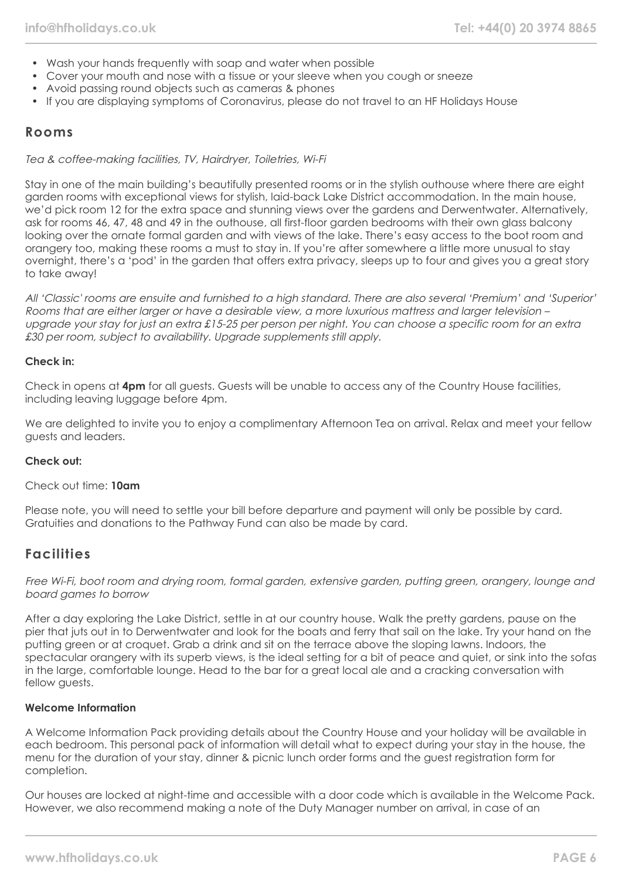- Wash your hands frequently with soap and water when possible
- Cover your mouth and nose with a tissue or your sleeve when you cough or sneeze
- Avoid passing round objects such as cameras & phones
- If you are displaying symptoms of Coronavirus, please do not travel to an HF Holidays House

#### **Rooms**

Tea & coffee-making facilities, TV, Hairdryer, Toiletries, Wi-Fi

Stay in one of the main building's beautifully presented rooms or in the stylish outhouse where there are eight garden rooms with exceptional views for stylish, laid-back Lake District accommodation. In the main house, we'd pick room 12 for the extra space and stunning views over the gardens and Derwentwater. Alternatively, ask for rooms 46, 47, 48 and 49 in the outhouse, all first-floor garden bedrooms with their own glass balcony looking over the ornate formal garden and with views of the lake. There's easy access to the boot room and orangery too, making these rooms a must to stay in. If you're after somewhere a little more unusual to stay overnight, there's a 'pod' in the garden that offers extra privacy, sleeps up to four and gives you a great story to take away!

All 'Classic' rooms are ensuite and furnished to a high standard. There are also several 'Premium' and 'Superior' Rooms that are either larger or have a desirable view, a more luxurious mattress and larger television – upgrade your stay for just an extra £15-25 per person per night. You can choose a specific room for an extra £30 per room, subject to availability. Upgrade supplements still apply.

#### **Check in:**

Check in opens at **4pm** for all guests. Guests will be unable to access any of the Country House facilities, including leaving luggage before 4pm.

We are delighted to invite you to enjoy a complimentary Afternoon Tea on arrival. Relax and meet your fellow guests and leaders.

#### **Check out:**

Check out time: **10am**

Please note, you will need to settle your bill before departure and payment will only be possible by card. Gratuities and donations to the Pathway Fund can also be made by card.

## **Facilities**

Free Wi-Fi, boot room and drying room, formal garden, extensive garden, putting green, orangery, lounge and board games to borrow

After a day exploring the Lake District, settle in at our country house. Walk the pretty gardens, pause on the pier that juts out in to Derwentwater and look for the boats and ferry that sail on the lake. Try your hand on the putting green or at croquet. Grab a drink and sit on the terrace above the sloping lawns. Indoors, the spectacular orangery with its superb views, is the ideal setting for a bit of peace and quiet, or sink into the sofas in the large, comfortable lounge. Head to the bar for a great local ale and a cracking conversation with fellow quests.

#### **Welcome Information**

A Welcome Information Pack providing details about the Country House and your holiday will be available in each bedroom. This personal pack of information will detail what to expect during your stay in the house, the menu for the duration of your stay, dinner & picnic lunch order forms and the guest registration form for completion.

Our houses are locked at night-time and accessible with a door code which is available in the Welcome Pack. However, we also recommend making a note of the Duty Manager number on arrival, in case of an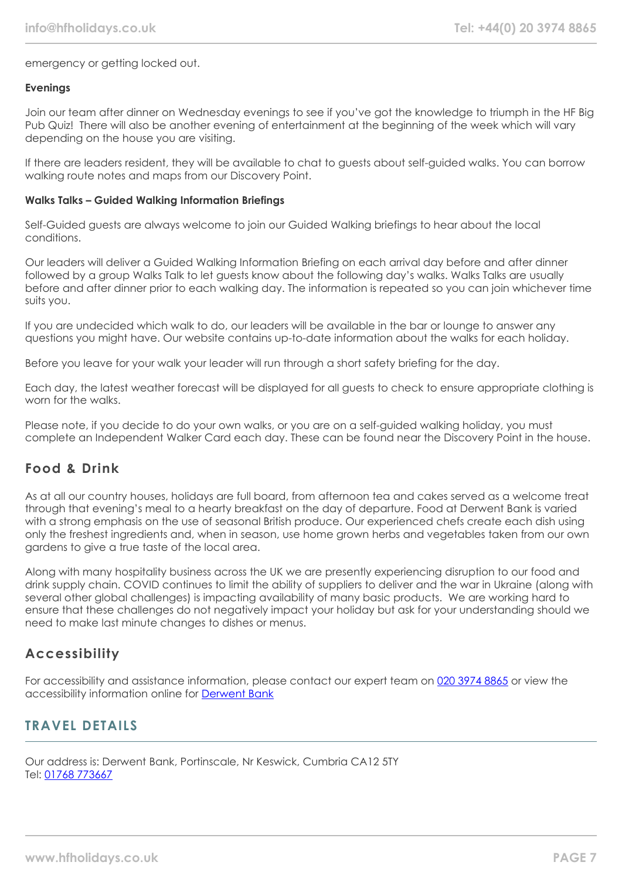emergency or getting locked out.

#### **Evenings**

Join our team after dinner on Wednesday evenings to see if you've got the knowledge to triumph in the HF Big Pub Quiz! There will also be another evening of entertainment at the beginning of the week which will vary depending on the house you are visiting.

If there are leaders resident, they will be available to chat to guests about self-guided walks. You can borrow walking route notes and maps from our Discovery Point.

#### **Walks Talks – Guided Walking Information Briefings**

Self-Guided guests are always welcome to join our Guided Walking briefings to hear about the local conditions.

Our leaders will deliver a Guided Walking Information Briefing on each arrival day before and after dinner followed by a group Walks Talk to let guests know about the following day's walks. Walks Talks are usually before and after dinner prior to each walking day. The information is repeated so you can join whichever time suits you.

If you are undecided which walk to do, our leaders will be available in the bar or lounge to answer any questions you might have. Our website contains up-to-date information about the walks for each holiday.

Before you leave for your walk your leader will run through a short safety briefing for the day.

Each day, the latest weather forecast will be displayed for all guests to check to ensure appropriate clothing is worn for the walks.

Please note, if you decide to do your own walks, or you are on a self-guided walking holiday, you must complete an Independent Walker Card each day. These can be found near the Discovery Point in the house.

# **Food & Drink**

As at all our country houses, holidays are full board, from afternoon tea and cakes served as a welcome treat through that evening's meal to a hearty breakfast on the day of departure. Food at Derwent Bank is varied with a strong emphasis on the use of seasonal British produce. Our experienced chefs create each dish using only the freshest ingredients and, when in season, use home grown herbs and vegetables taken from our own gardens to give a true taste of the local area.

Along with many hospitality business across the UK we are presently experiencing disruption to our food and drink supply chain. COVID continues to limit the ability of suppliers to deliver and the war in Ukraine (along with several other global challenges) is impacting availability of many basic products. We are working hard to ensure that these challenges do not negatively impact your holiday but ask for your understanding should we need to make last minute changes to dishes or menus.

## **Accessibility**

For accessibility and assistance information, please contact our expert team on [020 3974 8865](tel:02039748865) or view the accessibility information online for [Derwent Bank](https://www.hfholidays.co.uk/images/Documents/accessibility_statements/derwentbank---accessibility-information---update-mar-2021.pdf)

# **TRAVEL DETAILS**

Our address is: Derwent Bank, Portinscale, Nr Keswick, Cumbria CA12 5TY Tel: [01768 773667](tel:01768773667)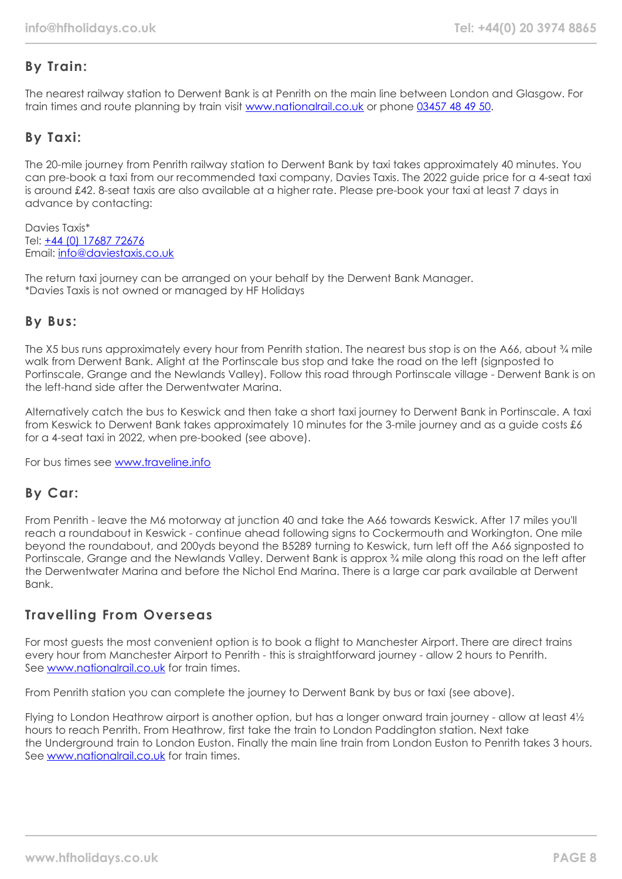# **By Train:**

The nearest railway station to Derwent Bank is at Penrith on the main line between London and Glasgow. For train times and route planning by train visit [www.nationalrail.co.uk](https://www.nationalrail.co.uk/) or phone [03457 48 49 50.](tel:03457484950)

# **By Taxi:**

The 20-mile journey from Penrith railway station to Derwent Bank by taxi takes approximately 40 minutes. You can pre-book a taxi from our recommended taxi company, Davies Taxis. The 2022 guide price for a 4-seat taxi is around £42. 8-seat taxis are also available at a higher rate. Please pre-book your taxi at least 7 days in advance by contacting:

Davies Taxis\* Tel: +44 (0) [17687 72676](tel:01768772676) Email: [info@daviestaxis.co.uk](mailto:info@daviestaxis.co.uk)

The return taxi journey can be arranged on your behalf by the Derwent Bank Manager. \*Davies Taxis is not owned or managed by HF Holidays

# **By Bus:**

The X5 bus runs approximately every hour from Penrith station. The nearest bus stop is on the A66, about % mile walk from Derwent Bank. Alight at the Portinscale bus stop and take the road on the left (signposted to Portinscale, Grange and the Newlands Valley). Follow this road through Portinscale village - Derwent Bank is on the left-hand side after the Derwentwater Marina.

Alternatively catch the bus to Keswick and then take a short taxi journey to Derwent Bank in Portinscale. A taxi from Keswick to Derwent Bank takes approximately 10 minutes for the 3-mile journey and as a guide costs £6 for a 4-seat taxi in 2022, when pre-booked (see above).

For bus times see [www.traveline.info](http://www.traveline.info/)

# **By Car:**

From Penrith - leave the M6 motorway at junction 40 and take the A66 towards Keswick. After 17 miles you'll reach a roundabout in Keswick - continue ahead following signs to Cockermouth and Workington. One mile beyond the roundabout, and 200yds beyond the B5289 turning to Keswick, turn left off the A66 signposted to Portinscale, Grange and the Newlands Valley. Derwent Bank is approx ¾ mile along this road on the left after the Derwentwater Marina and before the Nichol End Marina. There is a large car park available at Derwent Bank.

# **Travelling From Overseas**

For most guests the most convenient option is to book a flight to Manchester Airport. There are direct trains every hour from Manchester Airport to Penrith - this is straightforward journey - allow 2 hours to Penrith. See [www.nationalrail.co.uk](http://www.nationalrail.co.uk/) for train times.

From Penrith station you can complete the journey to Derwent Bank by bus or taxi (see above).

Flying to London Heathrow airport is another option, but has a longer onward train journey - allow at least 4½ hours to reach Penrith. From Heathrow, first take the train to London Paddington station. Next take the Underground train to London Euston. Finally the main line train from London Euston to Penrith takes 3 hours. See [www.nationalrail.co.uk](http://www.nationalrail.co.uk/) for train times.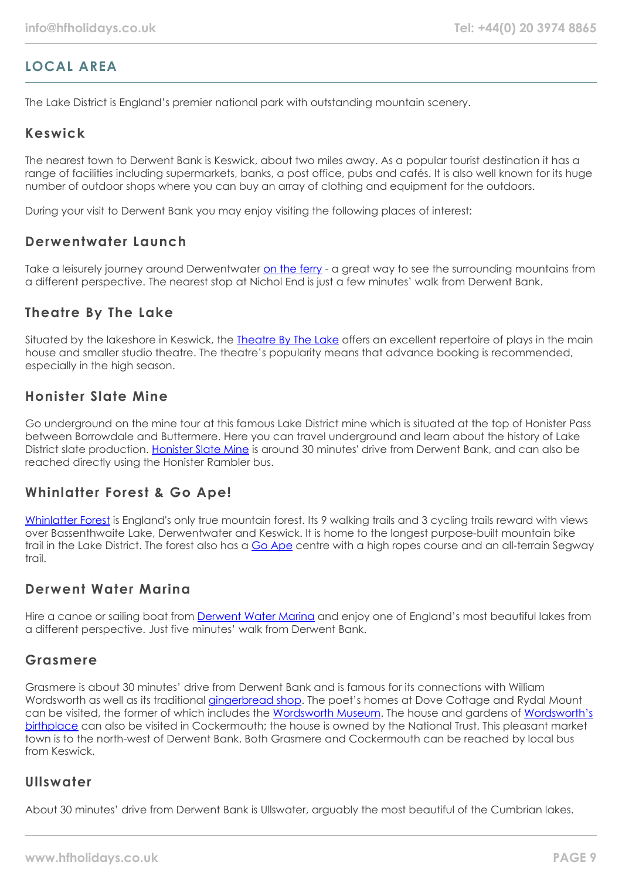# **LOCAL AREA**

The Lake District is England's premier national park with outstanding mountain scenery.

## **Keswick**

The nearest town to Derwent Bank is Keswick, about two miles away. As a popular tourist destination it has a range of facilities including supermarkets, banks, a post office, pubs and cafés. It is also well known for its huge number of outdoor shops where you can buy an array of clothing and equipment for the outdoors.

During your visit to Derwent Bank you may enjoy visiting the following places of interest:

## **Derwentwater Launch**

Take a leisurely journey around Derwentwater [on the ferry](https://keswick-launch.co.uk/) - a great way to see the surrounding mountains from a different perspective. The nearest stop at Nichol End is just a few minutes' walk from Derwent Bank.

## **Theatre By The Lake**

Situated by the lakeshore in Keswick, the [Theatre By The Lake](https://www.theatrebythelake.com/) offers an excellent repertoire of plays in the main house and smaller studio theatre. The theatre's popularity means that advance booking is recommended, especially in the high season.

## **Honister Slate Mine**

Go underground on the mine tour at this famous Lake District mine which is situated at the top of Honister Pass between Borrowdale and Buttermere. Here you can travel underground and learn about the history of Lake District slate production. [Honister Slate Mine](https://honister.com/) is around 30 minutes' drive from Derwent Bank, and can also be reached directly using the Honister Rambler bus.

## **Whinlatter Forest & Go Ape!**

[Whinlatter Forest](https://www.forestryengland.uk/whinlatter) is England's only true mountain forest. Its 9 walking trails and 3 cycling trails reward with views over Bassenthwaite Lake, Derwentwater and Keswick. It is home to the longest purpose-built mountain bike trail in the Lake District. The forest also has a [Go Ape](https://goape.co.uk/locations/whinlatter) centre with a high ropes course and an all-terrain Segway  $tr$ nil

## **Derwent Water Marina**

Hire a canoe or sailing boat from **[Derwent Water Marina](https://derwentwatermarina.co.uk/)** and enjoy one of England's most beautiful lakes from a different perspective. Just five minutes' walk from Derwent Bank.

## **Grasmere**

Grasmere is about 30 minutes' drive from Derwent Bank and is famous for its connections with William Wordsworth as well as its traditional [gingerbread shop.](https://www.grasmeregingerbread.co.uk/) The poet's homes at Dove Cottage and Rydal Mount can be visited, the former of which includes the [Wordsworth Museum](https://wordsworth.org.uk/). The house and gardens of [Wordsworth's](https://www.nationaltrust.org.uk/wordsworth-house-and-garden) [birthplace](https://www.nationaltrust.org.uk/wordsworth-house-and-garden) can also be visited in Cockermouth; the house is owned by the National Trust. This pleasant market town is to the north-west of Derwent Bank. Both Grasmere and Cockermouth can be reached by local bus from Keswick.

## **Ullswater**

About 30 minutes' drive from Derwent Bank is Ullswater, arguably the most beautiful of the Cumbrian lakes.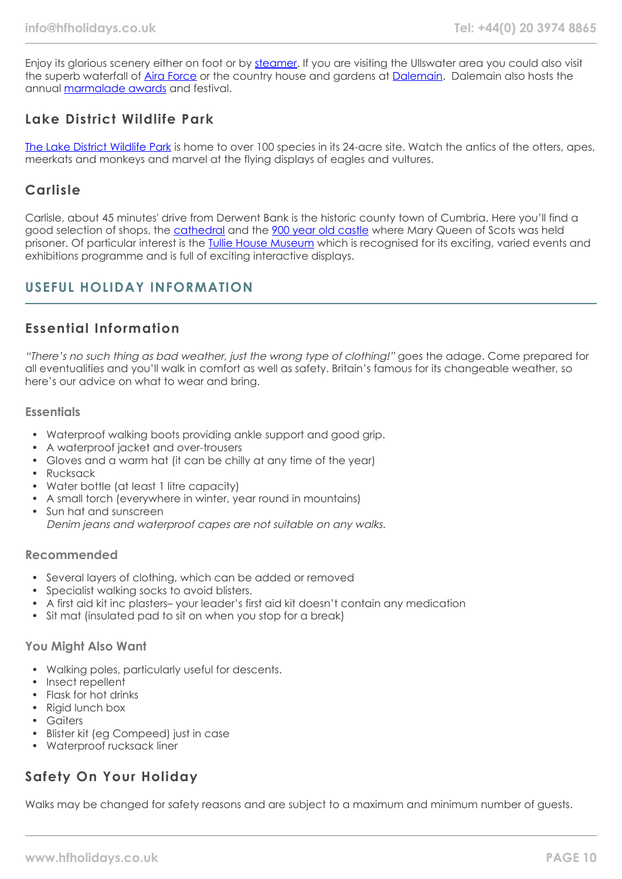Enjoy its glorious scenery either on foot or by [steamer](https://www.ullswater-steamers.co.uk/). If you are visiting the Ullswater area you could also visit the superb waterfall of [Aira Force](https://www.nationaltrust.org.uk/aira-force-and-ullswater) or the country house and gardens at [Dalemain.](https://www.dalemain.com/) Dalemain also hosts the annual [marmalade awards](https://www.dalemain.com/marmalade-festival/) and festival.

# **Lake District Wildlife Park**

[The Lake District Wildlife Park](https://www.lakedistrictwildlifepark.co.uk/) is home to over 100 species in its 24-acre site. Watch the antics of the otters, apes, meerkats and monkeys and marvel at the flying displays of eagles and vultures.

## **Carlisle**

Carlisle, about 45 minutes' drive from Derwent Bank is the historic county town of Cumbria. Here you'll find a good selection of shops, the [cathedral](https://carlislecathedral.org.uk/) and the [900 year old castle](https://www.english-heritage.org.uk/visit/places/carlisle-castle/) where Mary Queen of Scots was held prisoner. Of particular interest is the [Tullie House Museum](https://www.tulliehouse.co.uk/) which is recognised for its exciting, varied events and exhibitions programme and is full of exciting interactive displays.

# **USEFUL HOLIDAY INFORMATION**

# **Essential Information**

"There's no such thing as bad weather, just the wrong type of clothing!" goes the adage. Come prepared for all eventualities and you'll walk in comfort as well as safety. Britain's famous for its changeable weather, so here's our advice on what to wear and bring.

#### **Essentials**

- Waterproof walking boots providing ankle support and good grip.
- A waterproof jacket and over-trousers
- Gloves and a warm hat (it can be chilly at any time of the year)
- Rucksack
- Water bottle (at least 1 litre capacity)
- A small torch (everywhere in winter, year round in mountains)
- Sun hat and sunscreen Denim jeans and waterproof capes are not suitable on any walks.

#### **Recommended**

- Several layers of clothing, which can be added or removed
- Specialist walking socks to avoid blisters.
- A first aid kit inc plasters– your leader's first aid kit doesn't contain any medication
- Sit mat (insulated pad to sit on when you stop for a break)

#### **You Might Also Want**

- Walking poles, particularly useful for descents.
- Insect repellent
- Flask for hot drinks
- Rigid lunch box
- Gaiters
- Blister kit (eg Compeed) just in case
- Waterproof rucksack liner

# **Safety On Your Holiday**

Walks may be changed for safety reasons and are subject to a maximum and minimum number of guests.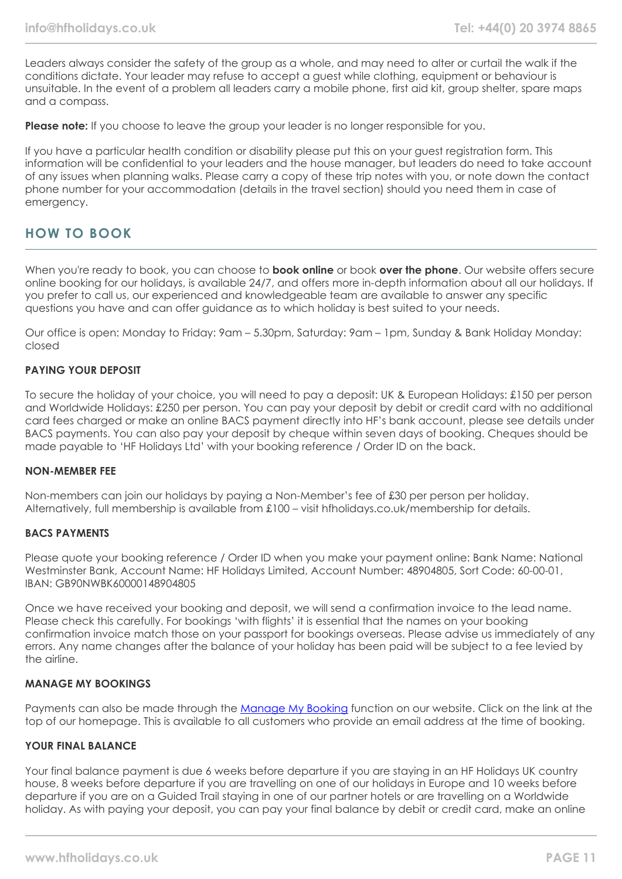Leaders always consider the safety of the group as a whole, and may need to alter or curtail the walk if the conditions dictate. Your leader may refuse to accept a guest while clothing, equipment or behaviour is unsuitable. In the event of a problem all leaders carry a mobile phone, first aid kit, group shelter, spare maps and a compass.

**Please note:** If you choose to leave the group your leader is no longer responsible for you.

If you have a particular health condition or disability please put this on your guest registration form. This information will be confidential to your leaders and the house manager, but leaders do need to take account of any issues when planning walks. Please carry a copy of these trip notes with you, or note down the contact phone number for your accommodation (details in the travel section) should you need them in case of emergency.

# **HOW TO BOOK**

When you're ready to book, you can choose to **book online** or book **over the phone**. Our website offers secure online booking for our holidays, is available 24/7, and offers more in-depth information about all our holidays. If you prefer to call us, our experienced and knowledgeable team are available to answer any specific questions you have and can offer guidance as to which holiday is best suited to your needs.

Our office is open: Monday to Friday: 9am – 5.30pm, Saturday: 9am – 1pm, Sunday & Bank Holiday Monday: closed

#### **PAYING YOUR DEPOSIT**

To secure the holiday of your choice, you will need to pay a deposit: UK & European Holidays: £150 per person and Worldwide Holidays: £250 per person. You can pay your deposit by debit or credit card with no additional card fees charged or make an online BACS payment directly into HF's bank account, please see details under BACS payments. You can also pay your deposit by cheque within seven days of booking. Cheques should be made payable to 'HF Holidays Ltd' with your booking reference / Order ID on the back.

#### **NON-MEMBER FEE**

Non-members can join our holidays by paying a Non-Member's fee of £30 per person per holiday. Alternatively, full membership is available from £100 – visit hfholidays.co.uk/membership for details.

#### **BACS PAYMENTS**

Please quote your booking reference / Order ID when you make your payment online: Bank Name: National Westminster Bank, Account Name: HF Holidays Limited, Account Number: 48904805, Sort Code: 60-00-01, IBAN: GB90NWBK60000148904805

Once we have received your booking and deposit, we will send a confirmation invoice to the lead name. Please check this carefully. For bookings 'with flights' it is essential that the names on your booking confirmation invoice match those on your passport for bookings overseas. Please advise us immediately of any errors. Any name changes after the balance of your holiday has been paid will be subject to a fee levied by the airline.

#### **MANAGE MY BOOKINGS**

Payments can also be made through the [Manage My Booking](https://www.hfholidays.co.uk/about-us/bookings/my-booking) function on our website. Click on the link at the top of our homepage. This is available to all customers who provide an email address at the time of booking.

#### **YOUR FINAL BALANCE**

Your final balance payment is due 6 weeks before departure if you are staying in an HF Holidays UK country house, 8 weeks before departure if you are travelling on one of our holidays in Europe and 10 weeks before departure if you are on a Guided Trail staying in one of our partner hotels or are travelling on a Worldwide holiday. As with paying your deposit, you can pay your final balance by debit or credit card, make an online